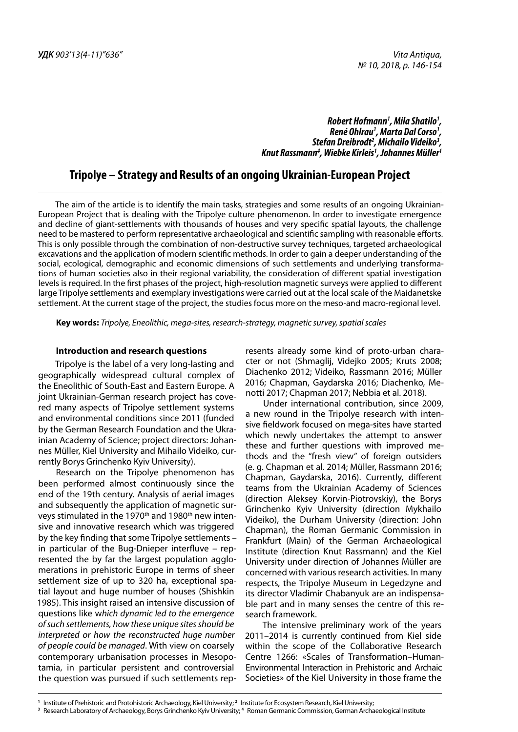*Robert Hofmann1 , Mila Shatilo1 , René Ohlrau1 , Marta Dal Corso1 , Stefan Dreibrodt2 , Michailo Videiko3 , Knut Rassmann4 , Wiebke Kirleis1 , Johannes Müller1*

# **Tripolye – Strategy and Results of an ongoing Ukrainian-European Project**

The aim of the article is to identify the main tasks, strategies and some results of an ongoing Ukrainian-European Project that is dealing with the Tripolye culture phenomenon. In order to investigate emergence and decline of giant-settlements with thousands of houses and very specific spatial layouts, the challenge need to be mastered to perform representative archaeological and scientific sampling with reasonable efforts. This is only possible through the combination of non-destructive survey techniques, targeted archaeological excavations and the application of modern scientific methods. In order to gain a deeper understanding of the social, ecological, demographic and economic dimensions of such settlements and underlying transformations of human societies also in their regional variability, the consideration of different spatial investigation levels is required. In the first phases of the project, high-resolution magnetic surveys were applied to different large Tripolye settlements and exemplary investigations were carried out at the local scale of the Maidanetske settlement. At the current stage of the project, the studies focus more on the meso-and macro-regional level.

**Key words:** *Tripolye, Eneolithic, mega-sites, research-strategy, magnetic survey, spatial scales*

#### **Introduction and research questions**

Tripolye is the label of a very long-lasting and geographically widespread cultural complex of the Eneolithic of South-East and Eastern Europe. A joint Ukrainian-German research project has covered many aspects of Tripolye settlement systems and environmental conditions since 2011 (funded by the German Research Foundation and the Ukrainian Academy of Science; project directors: Johannes Müller, Kiel University and Mihailo Videiko, currently Borys Grinchenko Kyiv University).

Research on the Tripolye phenomenon has been performed almost continuously since the end of the 19th century. Analysis of aerial images and subsequently the application of magnetic surveys stimulated in the 1970<sup>th</sup> and 1980<sup>th</sup> new intensive and innovative research which was triggered by the key finding that some Tripolye settlements – in particular of the Bug-Dnieper interfluve – represented the by far the largest population agglomerations in prehistoric Europe in terms of sheer settlement size of up to 320 ha, exceptional spatial layout and huge number of houses (Shishkіn 1985). This insight raised an intensive discussion of questions like w*hich dynamic led to the emergence of such settlements, how these unique sites should be interpreted or how the reconstructed huge number of people could be managed*. With view on coarsely contemporary urbanisation processes in Mesopotamia, in particular persistent and controversial the question was pursued if such settlements represents already some kind of proto-urban character or not (Shmaglij, Videjko 2005; Kruts 2008; Diachenko 2012; Videiko, Rassmann 2016; Müller 2016; Chapman, Gaydarska 2016; Diachenko, Menotti 2017; Chapman 2017; Nebbia et al. 2018).

Under international contribution, since 2009, a new round in the Tripolye research with intensive fieldwork focused on mega-sites have started which newly undertakes the attempt to answer these and further questions with improved methods and the "fresh view" of foreign outsiders (e. g. Chapman et al. 2014; Müller, Rassmann 2016; Chapman, Gaydarska, 2016). Currently, different teams from the Ukrainian Academy of Sciences (direction Aleksey Korvin-Piotrovskiy), the Borys Grinchenko Kyiv University (direction Mykhailo Videiko), the Durham University (direction: John Chapman), the Roman Germanic Commission in Frankfurt (Main) of the German Archaeological Institute (direction Knut Rassmann) and the Kiel University under direction of Johannes Müller are concerned with various research activities. In many respects, the Tripolye Museum in Legedzyne and its director Vladimir Chabanyuk are an indispensable part and in many senses the centre of this research framework.

The intensive preliminary work of the years 2011–2014 is currently continued from Kiel side within the scope of the Collaborative Research Centre 1266: «Scales of Transformation–Human-Environmental Interaction in Prehistoric and Archaic Societies» of the Kiel University in those frame the

**<sup>146</sup> ISSN 2519-4542** *VITA ANTIQUA* **<sup>1</sup>** Institute of Prehistoric and Protohistoric Archaeology, Kiel University; **<sup>2</sup>** Institute for Ecosystem Research, Kiel University;

**<sup>3</sup>** Research Laboratory of Archaeology, Borys Grinchenko Kyiv University; **<sup>4</sup>** Roman Germanic Commission, German Archaeological Institute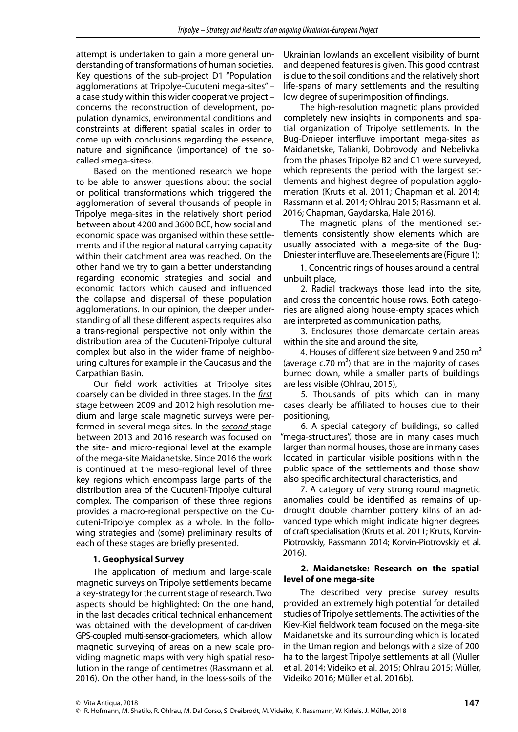attempt is undertaken to gain a more general understanding of transformations of human societies. Key questions of the sub-project D1 "Population agglomerations at Tripolye-Cucuteni mega-sites" – a case study within this wider cooperative project – concerns the reconstruction of development, population dynamics, environmental conditions and constraints at different spatial scales in order to come up with conclusions regarding the essence, nature and significance (importance) of the socalled «mega-sites».

Based on the mentioned research we hope to be able to answer questions about the social or political transformations which triggered the agglomeration of several thousands of people in Tripolye mega-sites in the relatively short period between about 4200 and 3600 BCE, how social and economic space was organised within these settlements and if the regional natural carrying capacity within their catchment area was reached. On the other hand we try to gain a better understanding regarding economic strategies and social and economic factors which caused and influenced the collapse and dispersal of these population agglomerations. In our opinion, the deeper understanding of all these different aspects requires also a trans-regional perspective not only within the distribution area of the Cucuteni-Tripolye cultural complex but also in the wider frame of neighbouring cultures for example in the Caucasus and the Carpathian Basin.

Our field work activities at Tripolye sites coarsely can be divided in three stages. In the *first*  stage between 2009 and 2012 high resolution medium and large scale magnetic surveys were performed in several mega-sites. In the *second* stage between 2013 and 2016 research was focused on the site- and micro-regional level at the example of the mega-site Maidanetske. Since 2016 the work is continued at the meso-regional level of three key regions which encompass large parts of the distribution area of the Cucuteni-Tripolye cultural complex. The comparison of these three regions provides a macro-regional perspective on the Cucuteni-Tripolye complex as a whole. In the following strategies and (some) preliminary results of each of these stages are briefly presented.

#### **1. Geophysical Survey**

The application of medium and large-scale magnetic surveys on Tripolye settlements became a key-strategy for the current stage of research. Two aspects should be highlighted: On the one hand, in the last decades critical technical enhancement was obtained with the development of car-driven GPS-coupled multi-sensor-gradiometers, which allow magnetic surveying of areas on a new scale providing magnetic maps with very high spatial resolution in the range of centimetres (Rassmann et al. 2016). On the other hand, in the loess-soils of the

Ukrainian lowlands an excellent visibility of burnt and deepened features is given. This good contrast is due to the soil conditions and the relatively short life-spans of many settlements and the resulting low degree of superimposition of findings.

The high-resolution magnetic plans provided completely new insights in components and spatial organization of Tripolye settlements. In the Bug-Dnieper interfluve important mega-sites as Maidanetske, Talianki, Dobrovody and Nebelivka from the phases Tripolye B2 and C1 were surveyed, which represents the period with the largest settlements and highest degree of population agglomeration (Kruts et al. 2011; Chapman et al. 2014; Rassmann et al. 2014; Ohlrau 2015; Rassmann et al. 2016; Chapman, Gaydarska, Hale 2016).

The magnetic plans of the mentioned settlements consistently show elements which are usually associated with a mega-site of the Bug-Dniester interfluve are. These elements are (Figure 1):

1. Concentric rings of houses around a central unbuilt place,

2. Radial trackways those lead into the site, and cross the concentric house rows. Both categories are aligned along house-empty spaces which are interpreted as communication paths,

3. Enclosures those demarcate certain areas within the site and around the site,

4. Houses of different size between 9 and 250 m<sup>2</sup> (average c.70  $\mathrm{m}^2$ ) that are in the majority of cases burned down, while a smaller parts of buildings are less visible (Ohlrau, 2015),

5. Thousands of pits which can in many cases clearly be affiliated to houses due to their positioning,

6. A special category of buildings, so called "mega-structures", those are in many cases much larger than normal houses, those are in many cases located in particular visible positions within the public space of the settlements and those show also specific architectural characteristics, and

7. A category of very strong round magnetic anomalies could be identified as remains of updrought double chamber pottery kilns of an advanced type which might indicate higher degrees of craft specialisation (Kruts et al. 2011; Kruts, Korvin-Piotrovskiy, Rassmann 2014; Korvin-Piotrovskiy et al. 2016).

### **2. Maidanetske: Research on the spatial level of one mega-site**

The described very precise survey results provided an extremely high potential for detailed studies of Tripolye settlements. The activities of the Kiev-Kiel fieldwork team focused on the mega-site Maidanetske and its surrounding which is located in the Uman region and belongs with a size of 200 ha to the largest Tripolye settlements at all (Muller et al. 2014; Videiko et al. 2015; Ohlrau 2015; Müller, Videiko 2016; Müller et al. 2016b).

© Vita Antiqua, 2018

<sup>©</sup> Vita Antiqua, 2018<br>© R. Hofmann, M. Shatilo, R. Ohlrau, M. Dal Corso, S. Dreibrodt, M. Videiko, K. Rassmann, W. Kirleis, J. Müller, 2018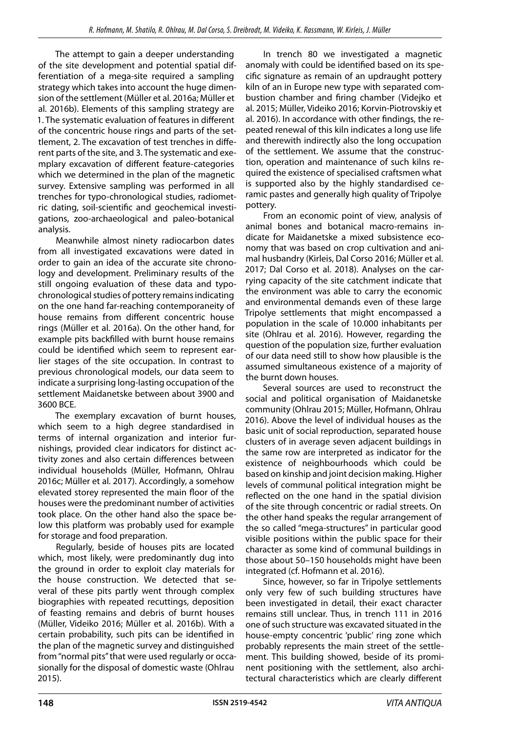The attempt to gain a deeper understanding of the site development and potential spatial differentiation of a mega-site required a sampling strategy which takes into account the huge dimension of the settlement (Müller et al. 2016a; Müller et al. 2016b). Elements of this sampling strategy are 1. The systematic evaluation of features in different of the concentric house rings and parts of the settlement, 2. The excavation of test trenches in different parts of the site, and 3. The systematic and exemplary excavation of different feature-categories which we determined in the plan of the magnetic survey. Extensive sampling was performed in all trenches for typo-chronological studies, radiometric dating, soil-scientific and geochemical investigations, zoo-archaeological and paleo-botanical analysis.

Meanwhile almost ninety radiocarbon dates from all investigated excavations were dated in order to gain an idea of the accurate site chronology and development. Preliminary results of the still ongoing evaluation of these data and typochronological studies of pottery remains indicating on the one hand far-reaching contemporaneity of house remains from different concentric house rings (Müller et al. 2016a). On the other hand, for example pits backfilled with burnt house remains could be identified which seem to represent earlier stages of the site occupation. In contrast to previous chronological models, our data seem to indicate a surprising long-lasting occupation of the settlement Maidanetske between about 3900 and 3600 BCE.

The exemplary excavation of burnt houses, which seem to a high degree standardised in terms of internal organization and interior furnishings, provided clear indicators for distinct activity zones and also certain differences between individual households (Müller, Hofmann, Ohlrau 2016c; Müller et al. 2017). Accordingly, a somehow elevated storey represented the main floor of the houses were the predominant number of activities took place. On the other hand also the space below this platform was probably used for example for storage and food preparation.

Regularly, beside of houses pits are located which, most likely, were predominantly dug into the ground in order to exploit clay materials for the house construction. We detected that several of these pits partly went through complex biographies with repeated recuttings, deposition of feasting remains and debris of burnt houses (Müller, Videiko 2016; Müller et al. 2016b). With a certain probability, such pits can be identified in the plan of the magnetic survey and distinguished from "normal pits" that were used regularly or occasionally for the disposal of domestic waste (Ohlrau 2015).

In trench 80 we investigated a magnetic anomaly with could be identified based on its specific signature as remain of an updraught pottery kiln of an in Europe new type with separated combustion chamber and firing chamber (Vіdejko et al. 2015; Müller, Videiko 2016; Korvin-Piotrovskiy et al. 2016). In accordance with other findings, the repeated renewal of this kiln indicates a long use life and therewith indirectly also the long occupation of the settlement. We assume that the construction, operation and maintenance of such kilns required the existence of specialised craftsmen what is supported also by the highly standardised ceramic pastes and generally high quality of Tripolye pottery.

From an economic point of view, analysis of animal bones and botanical macro-remains indicate for Maidanetske a mixed subsistence economy that was based on crop cultivation and animal husbandry (Kirleis, Dal Corso 2016; Müller et al. 2017; Dal Corso et al. 2018). Analyses on the carrying capacity of the site catchment indicate that the environment was able to carry the economic and environmental demands even of these large Tripolye settlements that might encompassed a population in the scale of 10.000 inhabitants per site (Ohlrau et al. 2016). However, regarding the question of the population size, further evaluation of our data need still to show how plausible is the assumed simultaneous existence of a majority of the burnt down houses.

Several sources are used to reconstruct the social and political organisation of Maidanetske community (Ohlrau 2015; Müller, Hofmann, Ohlrau 2016). Above the level of individual houses as the basic unit of social reproduction, separated house clusters of in average seven adjacent buildings in the same row are interpreted as indicator for the existence of neighbourhoods which could be based on kinship and joint decision making. Higher levels of communal political integration might be reflected on the one hand in the spatial division of the site through concentric or radial streets. On the other hand speaks the regular arrangement of the so called "mega-structures" in particular good visible positions within the public space for their character as some kind of communal buildings in those about 50–150 households might have been integrated (cf. Hofmann et al. 2016).

Since, however, so far in Tripolye settlements only very few of such building structures have been investigated in detail, their exact character remains still unclear. Thus, in trench 111 in 2016 one of such structure was excavated situated in the house-empty concentric 'public' ring zone which probably represents the main street of the settlement. This building showed, beside of its prominent positioning with the settlement, also architectural characteristics which are clearly different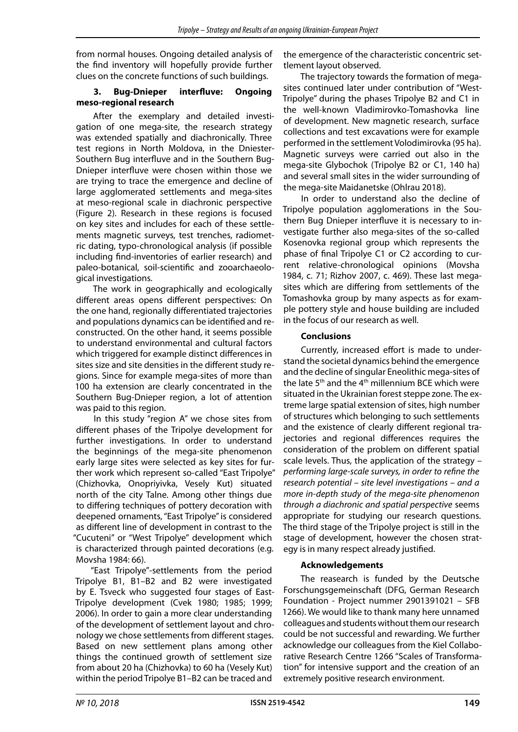from normal houses. Ongoing detailed analysis of the find inventory will hopefully provide further clues on the concrete functions of such buildings.

#### **3. Bug-Dnieper interfluve: Ongoing meso-regional research**

After the exemplary and detailed investigation of one mega-site, the research strategy was extended spatially and diachronically. Three test regions in North Moldova, in the Dniester-Southern Bug interfluve and in the Southern Bug-Dnieper interfluve were chosen within those we are trying to trace the emergence and decline of large agglomerated settlements and mega-sites at meso-regional scale in diachronic perspective (Figure 2). Research in these regions is focused on key sites and includes for each of these settlements magnetic surveys, test trenches, radiometric dating, typo-chronological analysis (if possible including find-inventories of earlier research) and paleo-botanical, soil-scientific and zooarchaeological investigations.

The work in geographically and ecologically different areas opens different perspectives: On the one hand, regionally differentiated trajectories and populations dynamics can be identified and reconstructed. On the other hand, it seems possible to understand environmental and cultural factors which triggered for example distinct differences in sites size and site densities in the different study regions. Since for example mega-sites of more than 100 ha extension are clearly concentrated in the Southern Bug-Dnieper region, a lot of attention was paid to this region.

In this study "region A" we chose sites from different phases of the Tripolye development for further investigations. In order to understand the beginnings of the mega-site phenomenon early large sites were selected as key sites for further work which represent so-called "East Tripolye" (Chizhovka, Onopriyivka, Vesely Kut) situated north of the city Talne. Among other things due to differing techniques of pottery decoration with deepened ornaments, "East Tripolye" is considered as different line of development in contrast to the "Cucuteni" or "West Tripolye" development which is characterized through painted decorations (e.g. Movsha 1984: 66).

"East Tripolye"-settlements from the period Tripolye B1, B1–B2 and B2 were investigated by E. Tsveck who suggested four stages of East-Tripolye development (Cvek 1980; 1985; 1999; 2006). In order to gain a more clear understanding of the development of settlement layout and chronology we chose settlements from different stages. Based on new settlement plans among other things the continued growth of settlement size from about 20 ha (Chizhovka) to 60 ha (Vesely Kut) within the period Tripolye B1–B2 can be traced and

the emergence of the characteristic concentric settlement layout observed.

The trajectory towards the formation of megasites continued later under contribution of "West-Tripolye" during the phases Tripolye B2 and C1 in the well-known Vladimirovko-Tomashovka line of development. New magnetic research, surface collections and test excavations were for example performed in the settlement Volodimirovka (95 ha). Magnetic surveys were carried out also in the mega-site Glybochok (Tripolye B2 or C1, 140 ha) and several small sites in the wider surrounding of the mega-site Maidanetske (Ohlrau 2018).

In order to understand also the decline of Tripolye population agglomerations in the Southern Bug Dnieper interfluve it is necessary to investigate further also mega-sites of the so-called Kosenovka regional group which represents the phase of final Tripolye C1 or C2 according to current relative-chronological opinions (Movsha 1984, с. 71; Rizhov 2007, с. 469). These last megasites which are differing from settlements of the Tomashovka group by many aspects as for example pottery style and house building are included in the focus of our research as well.

### **Conclusions**

Currently, increased effort is made to understand the societal dynamics behind the emergence and the decline of singular Eneolithic mega-sites of the late  $5<sup>th</sup>$  and the  $4<sup>th</sup>$  millennium BCE which were situated in the Ukrainian forest steppe zone. The extreme large spatial extension of sites, high number of structures which belonging to such settlements and the existence of clearly different regional trajectories and regional differences requires the consideration of the problem on different spatial scale levels. Thus, the application of the strategy – *performing large-scale surveys, in order to refine the research potential* – *site level investigations* – *and a more in-depth study of the mega-site phenomenon through a diachronic and spatial perspective* seems appropriate for studying our research questions. The third stage of the Tripolye project is still in the stage of development, however the chosen strategy is in many respect already justified.

### **Acknowledgements**

The reasearch is funded by the Deutsche Forschungsgemeinschaft (DFG, German Research Foundation - Project nummer 2901391021 – SFB 1266). We would like to thank many here unnamed colleagues and students without them our research could be not successful and rewarding. We further acknowledge our colleagues from the Kiel Collaborative Research Centre 1266 "Scales of Transformation" for intensive support and the creation of an extremely positive research environment.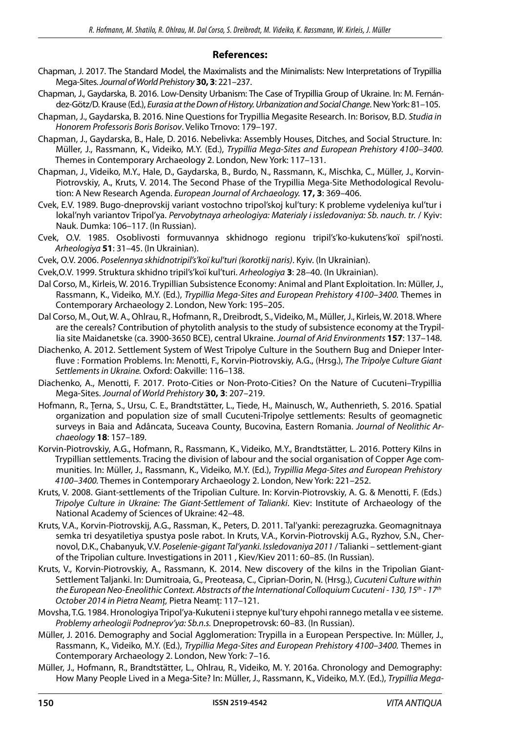# **References:**

- Chapman, J. 2017. The Standard Model, the Maximalists and the Minimalists: New Interpretations of Trypillia Mega-Sites. *Journal of World Prehistory* **30, 3**: 221–237.
- Chapman, J., Gaydarska, B. 2016. Low-Density Urbanism: The Case of Trypillia Group of Ukraine. In: M. Fernández-Götz/D. Krause (Ed.), *Eurasia at the Down of History. Urbanization and Social Change*. New York: 81–105.
- Chapman, J., Gaydarska, B. 2016. Nine Questions for Trypillia Megasite Research. In: Borisov, B.D. *Studia in Honorem Professoris Boris Borisov*. Veliko Trnovo: 179–197.
- Chapman, J., Gaydarska, B., Hale, D. 2016. Nebelivka: Assembly Houses, Ditches, and Social Structure. In: Müller, J., Rassmann, K., Videiko, M.Y. (Ed.), *Trypillia Mega-Sites and European Prehistory 4100–3400.* Themes in Contemporary Archaeology 2. London, New York: 117–131.
- Chapman, J., Videiko, M.Y., Hale, D., Gaydarska, B., Burdo, N., Rassmann, K., Mischka, C., Müller, J., Korvin-Piotrovskiy, A., Kruts, V. 2014. The Second Phase of the Trypillia Mega-Site Methodological Revolution: A New Research Agenda. *European Journal of Archaeology.* **17, 3**: 369–406.
- Cvek, E.V. 1989. Bugo-dneprovskij variant vostochno tripol'skoj kul'tury: K probleme vydeleniya kul'tur i lokal'nyh variantov Tripol'ya. *Pervobytnaya arheologiya: Materialy i issledovaniya: Sb. nauch. tr.* / Kyiv: Nauk. Dumka: 106–117. (In Russian).
- Cvek, O.V. 1985. Osoblivostі formuvannya skhіdnogo regіonu tripіl's'ko-kukutens'koї spіl'nostі. *Arheologіya* **51**: 31–45. (In Ukrainian).
- Cvek, O.V. 2006. *Poselennya skhіdnotripіl's'koї kul'turi (korotkij naris)*. Kyiv. (In Ukrainian).
- Cvek,O.V. 1999. Struktura skhіdno tripіl's'koї kul'turi. *Arheologіya* **3**: 28–40. (In Ukrainian).
- Dal Corso, M., Kirleis, W. 2016. Trypillian Subsistence Economy: Animal and Plant Exploitation. In: Müller, J., Rassmann, K., Videiko, M.Y. (Ed.), *Trypillia Mega-Sites and European Prehistory 4100–3400.* Themes in Contemporary Archaeology 2. London, New York: 195–205.
- Dal Corso, M., Out, W. A., Ohlrau, R., Hofmann, R., Dreibrodt, S., Videiko, M., Müller, J., Kirleis, W. 2018. Where are the cereals? Contribution of phytolith analysis to the study of subsistence economy at the Trypillia site Maidanetske (ca. 3900-3650 BCE), central Ukraine. *Journal of Arid Environments* **157**: 137–148.
- Diachenko, A. 2012. Settlement System of West Tripolye Culture in the Southern Bug and Dnieper Interfluve : Formation Problems. In: Menotti, F., Korvin-Piotrovskiy, A.G., (Hrsg.), *The Tripolye Culture Giant Settlements in Ukraine.* Oxford: Oakville: 116–138.
- Diachenko, A., Menotti, F. 2017. Proto-Cities or Non-Proto-Cities? On the Nature of Cucuteni–Trypillia Mega-Sites. *Journal of World Prehistory* **30, 3**: 207–219.
- Hofmann, R., Ţerna, S., Ursu, C. E., Brandtstätter, L., Tiede, H., Mainusch, W., Authenrieth, S. 2016. Spatial organization and population size of small Cucuteni-Tripolye settlements: Results of geomagnetic surveys in Baia and Adâncata, Suceava County, Bucovina, Eastern Romania. *Journal of Neolithic Archaeology* **18**: 157–189.
- Korvin-Piotrovskiy, A.G., Hofmann, R., Rassmann, K., Videiko, M.Y., Brandtstätter, L. 2016. Pottery Kilns in Trypillian settlements. Tracing the division of labour and the social organisation of Copper Age communities. In: Müller, J., Rassmann, K., Videiko, M.Y. (Ed.), *Trypillia Mega-Sites and European Prehistory 4100–3400.* Themes in Contemporary Archaeology 2. London, New York: 221–252.
- Kruts, V. 2008. Giant-settlements of the Tripolian Culture. In: Korvin-Piotrovskiy, A. G. & Menotti, F. (Eds.) *Tripolye Culture in Ukraine: The Giant-Settlement of Talianki*. Kiev: Institute of Archaeology of the National Academy of Sciences of Ukraine: 42–48.
- Kruts, V.A., Korvin-Piotrovskij, A.G., Rassman, K., Peters, D. 2011. Tal'yanki: perezagruzka. Geomagnitnaya semka tri desyatiletiya spustya posle rabot. In Kruts, V.A., Korvin-Piotrovskij A.G., Ryzhov, S.N., Chernovol, D.K., Chabanyuk, V.V. *Poselenie-gigant Tal'yanki. Issledovaniya 2011* / Talianki – settlement-giant of the Tripolian culture. Investigations in 2011 , Kiev/Kiev 2011: 60–85. (In Russian).
- Kruts, V., Korvin-Piotrovskiy, A., Rassmann, K. 2014. New discovery of the kilns in the Tripolian Giant-Settlement Taljanki. In: Dumitroaia, G., Preoteasa, C., Ciprian-Dorin, N. (Hrsg.), *Cucuteni Culture within the European Neo-Eneolithic Context. Abstracts of the International Colloquium Cucuteni - 130, 15th - 17th October 2014 in Pietra Neamţ,* Pietra Neamţ: 117–121.
- Movsha, T.G. 1984. Hronologiya Tripol'ya-Kukuteni i stepnye kul'tury ehpohi rannego metalla v ee sisteme. *Problemy arheologii Podneprov'ya: Sb.n.s.* Dnepropetrovsk: 60–83. (In Russian).
- Müller, J. 2016. Demography and Social Agglomeration: Trypilla in a European Perspective. In: Müller, J., Rassmann, K., Videiko, M.Y. (Ed.), *Trypillia Mega-Sites and European Prehistory 4100–3400.* Themes in Contemporary Archaeology 2. London, New York: 7–16.
- Müller, J., Hofmann, R., Brandtstätter, L., Ohlrau, R., Videiko, M. Y. 2016a. Chronology and Demography: How Many People Lived in a Mega-Site? In: Müller, J., Rassmann, K., Videiko, M.Y. (Ed.), *Trypillia Mega-*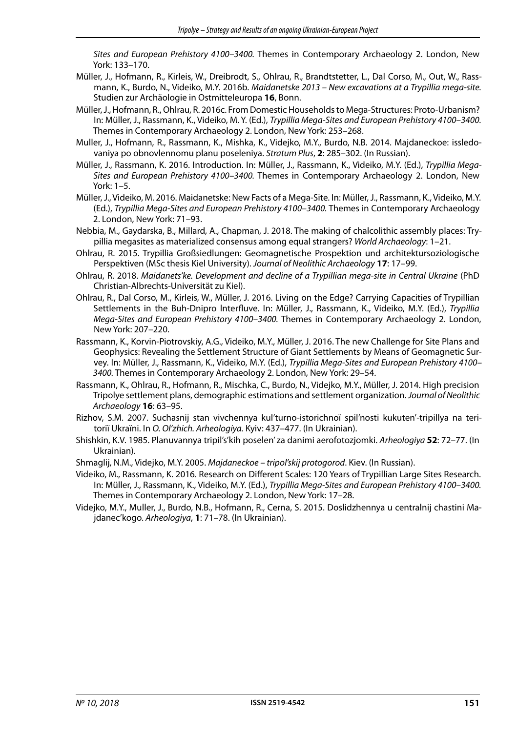*Sites and European Prehistory 4100–3400.* Themes in Contemporary Archaeology 2. London, New York: 133–170.

- Müller, J., Hofmann, R., Kirleis, W., Dreibrodt, S., Ohlrau, R., Brandtstetter, L., Dal Corso, M., Out, W., Rassmann, K., Burdo, N., Videiko, M.Y. 2016b. *Maidanetske 2013 – New excavations at a Trypillia mega-site.* Studien zur Archäologie in Ostmitteleuropa **16**, Bonn.
- Müller, J., Hofmann, R., Ohlrau, R. 2016c. From Domestic Households to Mega-Structures: Proto-Urbanism? In: Müller, J., Rassmann, K., Videiko, M. Y. (Ed.), *Trypillia Mega-Sites and European Prehistory 4100–3400.* Themes in Contemporary Archaeology 2. London, New York: 253–268.
- Muller, J., Hofmann, R., Rassmann, K., Mishka, K., Videjko, M.Y., Burdo, N.B. 2014. Majdaneckoe: issledovaniya po obnovlennomu planu poseleniya. *Stratum Plus*, **2**: 285–302. (In Russian).
- Müller, J., Rassmann, K. 2016. Introduction. In: Müller, J., Rassmann, K., Videiko, M.Y. (Ed.), *Trypillia Mega-Sites and European Prehistory 4100–3400.* Themes in Contemporary Archaeology 2. London, New York: 1–5.
- Müller, J., Videiko, M. 2016. Maidanetske: New Facts of a Mega-Site. In: Müller, J., Rassmann, K., Videiko, M.Y. (Ed.), *Trypillia Mega-Sites and European Prehistory 4100–3400.* Themes in Contemporary Archaeology 2. London, New York: 71–93.
- Nebbia, M., Gaydarska, B., Millard, A., Chapman, J. 2018. The making of chalcolithic assembly places: Trypillia megasites as materialized consensus among equal strangers? *World Archaeology*: 1–21.
- Ohlrau, R. 2015. Trypillia Großsiedlungen: Geomagnetische Prospektion und architektursoziologische Perspektiven (MSc thesis Kiel University). *Journal of Neolithic Archaeology* **17**: 17–99.
- Ohlrau, R. 2018. *Maidanets'ke. Development and decline of a Trypillian mega-site in Central Ukraine* (PhD Christian-Albrechts-Universität zu Kiel).
- Ohlrau, R., Dal Corso, M., Kirleis, W., Müller, J. 2016. Living on the Edge? Carrying Capacities of Trypillian Settlements in the Buh-Dnipro lnterfluve. In: Müller, J., Rassmann, K., Videiko, M.Y. (Ed.), *Trypillia Mega-Sites and European Prehistory 4100–3400.* Themes in Contemporary Archaeology 2. London, New York: 207–220.
- Rassmann, K., Korvin-Piotrovskiy, A.G., Videiko, M.Y., Müller, J. 2016. The new Challenge for Site Plans and Geophysics: Revealing the Settlement Structure of Giant Settlements by Means of Geomagnetic Survey. In: Müller, J., Rassmann, K., Videiko, M.Y. (Ed.), *Trypillia Mega-Sites and European Prehistory 4100– 3400.* Themes in Contemporary Archaeology 2. London, New York: 29–54.
- Rassmann, K., Ohlrau, R., Hofmann, R., Mischka, C., Burdo, N., Videjko, M.Y., Müller, J. 2014. High precision Tripolye settlement plans, demographic estimations and settlement organization. *Journal of Neolithic Archaeology* **16**: 63–95.
- Rizhov, S.M. 2007. Suchasnij stan vivchennya kul'turno-іstorichnoї spіl'nostі kukuten'-tripіllya na teritorії Ukraїni. In *O. Ol'zhich. Arheologіya.* Kyiv: 437–477. (In Ukrainian).
- Shishkіn, K.V. 1985. Planuvannya tripіl's'kih poselen' za danimi aerofotozjomki. *Arheologіya* **52**: 72–77. (In Ukrainian).
- Shmaglij, N.M., Videjko, M.Y. 2005. *Majdaneckoe tripol'skij protogorod*. Kiev. (In Russian).
- Videiko, M., Rassmann, K. 2016. Research on Different Scales: 120 Years of Trypillian Large Sites Research. In: Müller, J., Rassmann, K., Videiko, M.Y. (Ed.), *Trypillia Mega-Sites and European Prehistory 4100–3400.* Themes in Contemporary Archaeology 2. London, New York: 17–28.
- Vіdejko, M.Y., Muller, J., Burdo, N.B., Hofmann, R., Cerna, S. 2015. Doslіdzhennya u centralnіj chastinі Majdanec'kogo. *Arheologіya*, **1**: 71–78. (In Ukrainian).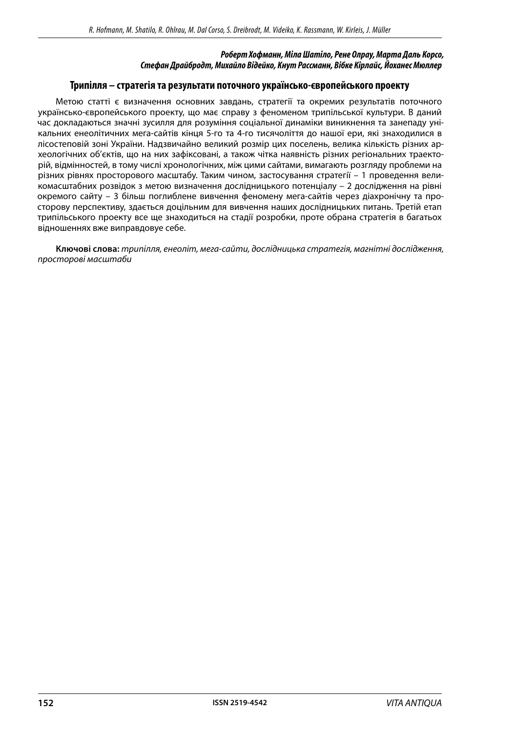### *Роберт Хофманн, Міла Шатіло, Рене Олрау, Марта Даль Корсо, Стефан Драйбродт, Михайло Відейко, Кнут Рассманн, Вібке Кірлайс, Йоханес Мюллер*

## **Трипілля – стратегія та результати поточного українсько-європейського проекту**

Метою статті є визначення основних завдань, стратегії та окремих результатів поточного українсько-європейського проекту, що має справу з феноменом трипільської культури. В даний час докладаються значні зусилля для розуміння соціальної динаміки виникнення та занепаду унікальних енеолітичних мега-сайтів кінця 5-го та 4-го тисячоліття до нашої ери, які знаходилися в лісостеповій зоні України. Надзвичайно великий розмір цих поселень, велика кількість різних археологічних об'єктів, що на них зафіксовані, а також чітка наявність різних регіональних траекторій, відмінностей, в тому числі хронологічних, між цими сайтами, вимагають розгляду проблеми на різних рівнях просторового масштабу. Таким чином, застосування стратегії – 1 проведення великомасштабних розвідок з метою визначення дослідницького потенціалу – 2 дослідження на рівні окремого сайту – 3 більш поглиблене вивчення феномену мега-сайтів через діахронічну та просторову перспективу, здається доцільним для вивчення наших дослідницьких питань. Третій етап трипільського проекту все ще знаходиться на стадії розробки, проте обрана стратегія в багатьох відношеннях вже виправдовуе себе.

**Ключові слова:** *трипілля, енеоліт, мега-сайти, дослідницька стратегія, магнітні дослідження, просторові масштаби*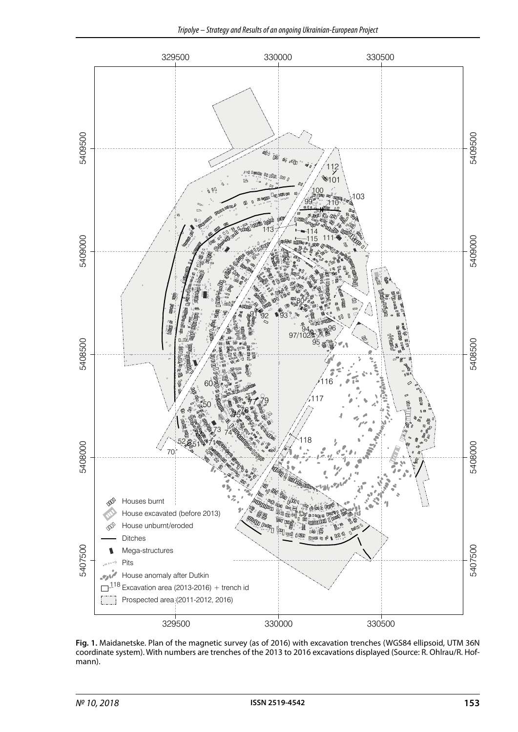

**Fig. 1.** Maidanetske. Plan of the magnetic survey (as of 2016) with excavation trenches (WGS84 ellipsoid, UTM 36N coordinate system). With numbers are trenches of the 2013 to 2016 excavations displayed (Source: R. Ohlrau/R. Hofmann).